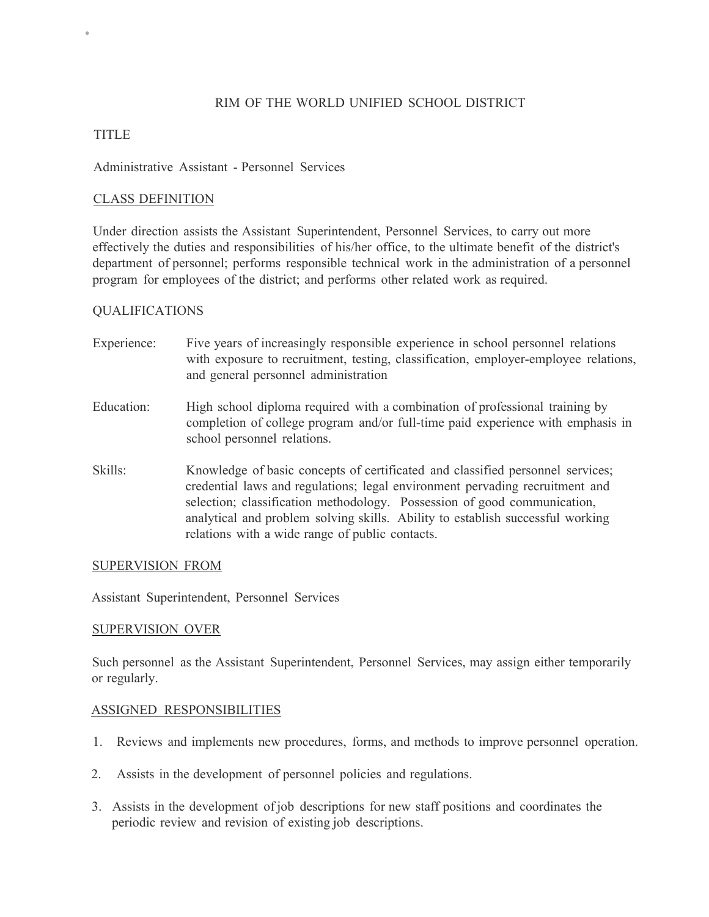# RIM OF THE WORLD UNIFIED SCHOOL DISTRICT

## TITLE

•

#### Administrative Assistant - Personnel Services

## CLASS DEFINITION

Under direction assists the Assistant Superintendent, Personnel Services, to carry out more effectively the duties and responsibilities of his/her office, to the ultimate benefit of the district's department of personnel; performs responsible technical work in the administration of a personnel program for employees of the district; and performs other related work as required.

## QUALIFICATIONS

- Experience: Five years of increasingly responsible experience in school personnel relations with exposure to recruitment, testing, classification, employer-employee relations, and general personnel administration
- Education: High school diploma required with a combination of professional training by completion of college program and/or full-time paid experience with emphasis in school personnel relations.
- Skills: Knowledge of basic concepts of certificated and classified personnel services; credential laws and regulations; legal environment pervading recruitment and selection; classification methodology. Possession of good communication, analytical and problem solving skills. Ability to establish successful working relations with a wide range of public contacts.

#### SUPERVISION FROM

Assistant Superintendent, Personnel Services

#### SUPERVISION OVER

Such personnel as the Assistant Superintendent, Personnel Services, may assign either temporarily or regularly.

#### ASSIGNED RESPONSIBILITIES

- 1. Reviews and implements new procedures, forms, and methods to improve personnel operation.
- 2. Assists in the development of personnel policies and regulations.
- 3. Assists in the development of job descriptions for new staff positions and coordinates the periodic review and revision of existing job descriptions.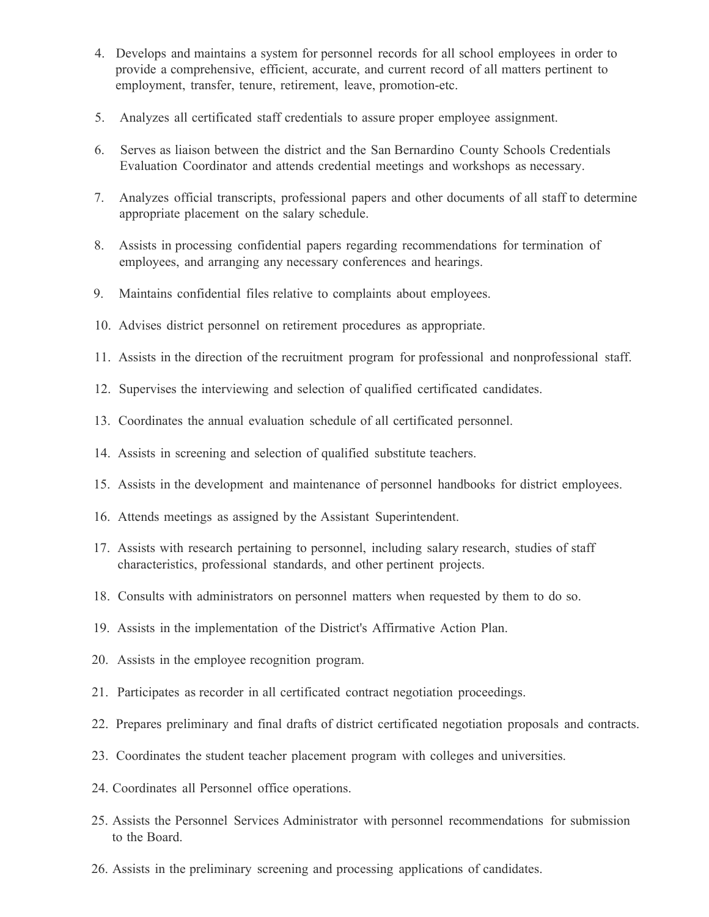- 4. Develops and maintains a system for personnel records for all school employees in order to provide a comprehensive, efficient, accurate, and current record of all matters pertinent to employment, transfer, tenure, retirement, leave, promotion-etc.
- 5. Analyzes all certificated staff credentials to assure proper employee assignment.
- 6. Serves as liaison between the district and the San Bernardino County Schools Credentials Evaluation Coordinator and attends credential meetings and workshops as necessary.
- 7. Analyzes official transcripts, professional papers and other documents of all staff to determine appropriate placement on the salary schedule.
- 8. Assists in processing confidential papers regarding recommendations for termination of employees, and arranging any necessary conferences and hearings.
- 9. Maintains confidential files relative to complaints about employees.
- 10. Advises district personnel on retirement procedures as appropriate.
- 11. Assists in the direction of the recruitment program for professional and nonprofessional staff.
- 12. Supervises the interviewing and selection of qualified certificated candidates.
- 13. Coordinates the annual evaluation schedule of all certificated personnel.
- 14. Assists in screening and selection of qualified substitute teachers.
- 15. Assists in the development and maintenance of personnel handbooks for district employees.
- 16. Attends meetings as assigned by the Assistant Superintendent.
- 17. Assists with research pertaining to personnel, including salary research, studies of staff characteristics, professional standards, and other pertinent projects.
- 18. Consults with administrators on personnel matters when requested by them to do so.
- 19. Assists in the implementation of the District's Affirmative Action Plan.
- 20. Assists in the employee recognition program.
- 21. Participates as recorder in all certificated contract negotiation proceedings.
- 22. Prepares preliminary and final drafts of district certificated negotiation proposals and contracts.
- 23. Coordinates the student teacher placement program with colleges and universities.
- 24. Coordinates all Personnel office operations.
- 25. Assists the Personnel Services Administrator with personnel recommendations for submission to the Board.
- 26. Assists in the preliminary screening and processing applications of candidates.